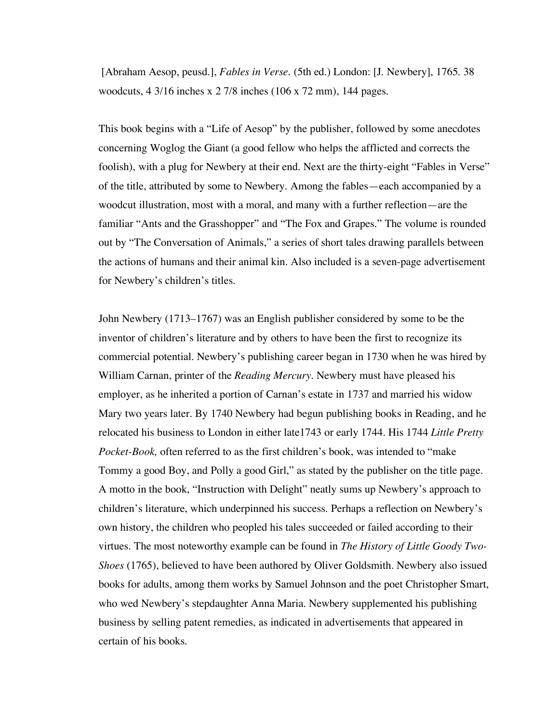[Abraham Aesop, peusd.], *Fables in Verse.* (5th ed.) London: [J. Newbery], 1765. 38 woodcuts, 4 3/16 inches x 2 7/8 inches (106 x 72 mm), 144 pages.

This book begins with a "Life of Aesop" by the publisher, followed by some anecdotes concerning Woglog the Giant (a good fellow who helps the afflicted and corrects the foolish), with a plug for Newbery at their end. Next are the thirty-eight "Fables in Verse" of the title, attributed by some to Newbery. Among the fables—each accompanied by a woodcut illustration, most with a moral, and many with a further reflection—are the familiar "Ants and the Grasshopper" and "The Fox and Grapes." The volume is rounded out by "The Conversation of Animals," a series of short tales drawing parallels between the actions of humans and their animal kin. Also included is a seven-page advertisement for Newbery's children's titles.

John Newbery (1713–1767) was an English publisher considered by some to be the inventor of children's literature and by others to have been the first to recognize its commercial potential. Newbery's publishing career began in 1730 when he was hired by William Carnan, printer of the *Reading Mercury*. Newbery must have pleased his employer, as he inherited a portion of Carnan's estate in 1737 and married his widow Mary two years later. By 1740 Newbery had begun publishing books in Reading, and he relocated his business to London in either late1743 or early 1744. His 1744 *Little Pretty Pocket-Book,* often referred to as the first children's book, was intended to "make Tommy a good Boy, and Polly a good Girl," as stated by the publisher on the title page. A motto in the book, "Instruction with Delight" neatly sums up Newbery's approach to children's literature, which underpinned his success. Perhaps a reflection on Newbery's own history, the children who peopled his tales succeeded or failed according to their virtues. The most noteworthy example can be found in *The History of Little Goody Two-Shoes* (1765), believed to have been authored by Oliver Goldsmith. Newbery also issued books for adults, among them works by Samuel Johnson and the poet Christopher Smart, who wed Newbery's stepdaughter Anna Maria. Newbery supplemented his publishing business by selling patent remedies, as indicated in advertisements that appeared in certain of his books.